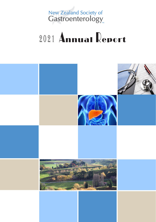New Zealand Society of<br>Gastroenterology

# 2021 Annual Report

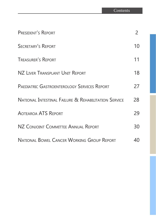| PRESIDENT'S REPORT                                              | 2  |
|-----------------------------------------------------------------|----|
| <b>SECRETARY'S REPORT</b>                                       | 10 |
| <b>TREASURER'S REPORT</b>                                       | 11 |
| NZ LIVER TRANSPLANT UNIT REPORT                                 | 18 |
| <b>PAEDIATRIC GASTROENTEROLOGY SERVICES REPORT</b>              | 27 |
| <b>NATIONAL INTESTINAL FAILURE &amp; REHABILITATION SERVICE</b> | 28 |
| <b>AOTEAROA ATS REPORT</b>                                      | 29 |
| NZ CONJOINT COMMITTEE ANNUAL REPORT                             | 30 |
| <b>NATIONAL BOWEL CANCER WORKING GROUP REPORT</b>               | 40 |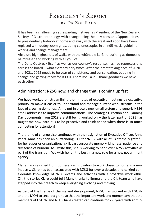## PRESIDENT'S REPORT

### by Dr Zoe Raos

It has been a challenging yet rewarding first year as President of the New Zealand Society of Gastroenterology, with change being the only constant. Opportunities to presidentially hobnob at home and away with the great and good have been replaced with dodgy zoom grids, doing colonoscopies in an n95 mask, guideline writing and change management.

Absolute highlights: lots of walks with the whānau e kurī, re-training as domestic hairdresser and working with all you lot.

The Delta Outbreak itself, as well as our country's response, has had repercussions across the board – what extraordinary times. After the breathtaking pace of 2020 and 2021, 2022 needs to be year of consistency and consolidation, bedding in change and getting ready for R-EXIT. Ehara koe i a ia – thank goodness we have each other!

### Administration: NZSG now, and change that is coming up fast

We have worked on streamlining the minutes of executive meetings by executive priority, to make it easier to understand and manage current work streams in the face of growing demands. Anna put in place a new email system and generic NZSG email addresses to improve communications. The Strategic Direction and Planning Day documents from 2019 are still being worked on – the latter part of 2021 has taught me how hard it is to be proactive and think ahead when there is so much competing for attention!

The theme of change also continues with the resignation of Executive Officer, Anna Pears. Anna has been an outstanding E.O. for NZSG, with all of us eternally grateful for her superior organisational skill, vast corporate memory, kindness, patience and dry sense of humour. As I write this, she is working to hand over NZSG activities as part of the transition. We wish her all the best in a new role for a new government agency.

Claire Bark resigned from Conference Innovators to work closer to home in a new industry. Clare has been associated with NZSG for over a decade, and carried considerable knowledge of NZSG events and activities with a proactive work ethic. Oh, the stories Clare could tell! Many thanks to Emma and the C.I. team who have stepped into the breach to keep everything evolving and moving.

As part of the theme of change and development, NZSG has worked with EGGNZ and the MOH to secure a grant so that the important work and momentum that the members of EGGNZ and NEDS have created can continue for 2-3 years with admin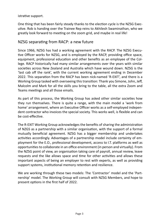istrative support.

One thing that has been fairly steady thanks to the election cycle is the NZSG Executive. Rob is handing over the Trainee Rep reins to Akhilesh Swaminathan, who we greatly look forward to meeting on the zoom grid, and maybe in real life!

### NZSG separating from RACP: a new future

Since 1966, NZSG has had a working agreement with the RACP. The NZSG Executive Officer works for NZSG, and is employed by the RACP, providing office space, equipment, professional education and other benefits as an employee of the College. RACP historically had many similar arrangements over the years with similar societies across New Zealand and Australia which have wound down. NZSG is the 'last cab off the rank', with the current working agreement ending in December 2022. This separation from the RACP has been nick-named 'R-EXIT', and there is a Working Group tasked with overseeing this transition: Thank you Simone, John, Jeff, Malcolm and Mark for all the skills you bring to the table, all the extra Zoom and Teams meetings and all those emails.

As part of this process, the Working Group has asked other similar societies how they run themselves. There is quite a range, with the main model a 'work from home' arrangement, where an Executive Officer works as a self-employed independent contractor who invoices the special society. This works well, is flexible and can be cost-effective.

The R-EXIT Working Group acknowledges the benefits of sharing the administration of NZGS as a partnership with a similar organisation, with the support of a formal mutually beneficial agreement. NZSG has a bigger membership and undertakes activities accordingly. Advantages of a partnership model include certainty of employment for the E.O., professional development, access to I.T. platforms as well as opportunities to collaborate in an office environment (in person and virtually). From the NZSG point of view, an organisation taking care of payroll, annual review, leave requests and the like allows space and time for other activities and allows these important aspects of being an employer to rest with experts, as well as providing support systems, institutional memory retention and resilience.

We are working through these two models: The 'Contractor' model and the 'Partnership' model. The Working Group will consult with NZSG Members, and hope to present options in the first half of 2022.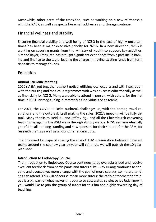Meanwhile, other parts of the transition, such as working on a new relationship with the RACP, as well as aspects like email addresses and storage continue.

## Financial wellness and stability

Ensuring financial viability and well being of NZSG in the face of highly uncertain times has been a major executive priority for NZSG. In a new direction, NZSG is working on securing grants from the Ministry of Health to support key activities. Simone Bayer, Treasurer, has brought significant experience from a past life in banking and finance to the table, leading the charge in moving existing funds from term deposits to managed funds.

### Education

### **Annual Scientific Meeting**

2020's ASM, put together at short notice, utilising local experts and with integration with the nursing and medical programmes with was a success educationally as well as financially for NZSG. Many were able to attend in person, with others, for the first time in NZSG history, tuning in remotely as individuals or as teams.

For 2021, the COVID-19 Delta outbreak challenges us, with the border, travel restrictions and the outbreak itself making the rules. 2021's meeting will be fully virtual. Many thanks to Heidi Su and Jeffrey Ngu and all the Christchurch convening team for navigating the ASM waka through stormy waters. NZSG remains eternally grateful to all our long standing and new sponsors for their support for the ASM, for research grants as well as all our other endeavours.

The proposed kaupapa of sharing the role of ASM organisation between different teams around the country year-by-year will continue, we will publish the 10-yearplan soon.

### **Introduction to Endoscopy Course**

The Introduction to Endoscopy Course continues to be oversubscribed and receive excellent feedback from participants and tutors alike. Judy Huang continues to convene and oversee yet more change with the goal of more courses, so more attendees can attend. This will of course mean more tutors: the ratio of teachers to trainees is a big part of what makes this course so successful, so please let Judy know if you would like to join the group of tutors for this fun and highly rewarding day of teaching.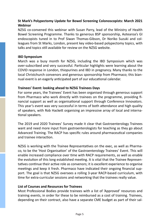### **St Mark's Polypectomy Update for Bowel Screening Colonoscopists: March 2021 Webinar**

NZSG co-convened this webinar with Susan Parry, lead of the Ministry of Health Bowel Screening Programme. Thanks to generous BSP sponsorship, Aotearoa's GI endoscopists tuned in to Prof Siwan Thomas-Gibson, Dr Noriko Suzuki and colleagues from St Marks, London, present key video-based polypectomy topics, with talks and topics still available for review on the NZSG website.

#### **IBD Symposium**

March was a busy month for NZSG, including the IBD Symposium which was over-subscribed and very successful. Particular highlights were learning about the COVID response in London, thiopurines and IBD in pregnancy. Many thanks to the local Christchurch convenors and generous sponsorship from Pharmaco; this biannual event is an eagerly anticipated part of our educational calendar.

#### **Trainees' Event: looking ahead to NZSG Trainees Days**

For some years, the Trainees' Event has been organised through generous support from Pharmaco who work directly with trainees on the programme, providing financial support as well as organisational support through Conference Innovators. This year's event was very successful in terms of both attendance and high quality of speakers, with Rob Hackett organising an impressive array of local and international speakers.

The 2019 and 2020 Trainees' Survey made it clear that Gastroenterology Trainees want and need more input from gastroenterologists for teaching as they go about Advanced Training. The RACP has specific rules around pharmaceutical companies and trainee interaction.

NZSG is working with the Trainee Representatives on the exec, as well as Pharmaco, to be the 'Host Organisation' of the Gastroenterology Trainees' Event. This will enable increased compliance over time with RACP requirements, as well as enable the evolution of this long established meeting. It is vital that the Trainee Representatives continue their active role as convenors; it is excellent experience to organise meetings and keep it fresh. Pharmaco have indicated their ongoing financial support. The goal is that NZSG oversees a rolling 3-year RACP-based curriculum, with time for extra-curricular sessions and networking that the trainees really value.

#### **List of Courses and Resources for Trainees**

Most Professional Bodies provide trainees with a list of 'Approved' resources and training events, in order for these to be reimbursed as a cost of training. Trainees, depending on their contract, also have a separate CME budget as part of their sal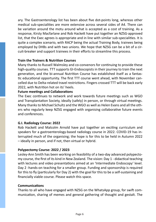ary. The Gastroenterology list has been about five dot-points long, whereas other medical sub-specialities are more extensive across several sides of A4. There can be variation around the motu around what is accepted as a cost of training. As a response, Kirsty Macfarlane and Rob Hackett have put together an NZSG-approved list, that the Exec agrees is appropriate and in line with similar sub-specialities. It is quite a complex scenario, with RACP being the actual Training Body, trainees being employed by DHBs and with two unions. We hope that NZSG can be a bit of a circuit-breaker and support trainees in their efforts to streamline this process.

#### **Train the Trainers & Nutrition Courses**

Many thanks to Russell Walmsley and co-convenors for continuing to provide these high-quality courses. TTT supports GI-Endoscopists in their journey to train the next generation, and the bi-annual Nutrition Course has established itself as a fantastic educational opportunity. The first TTT course went ahead, with November cancelled due to Delta-related travel restrictions. Fingers crossed TTT will be back early 2022, with Nutrition hot on its' heels.

#### **Future meetings and Collaborations**

The Exec continues to network and work towards future meetings such as WGO and Transplantation Society, ideally (safely) in person, or through virtual meetings. Many thanks to Michael Schultz and the WGO as well as Helen Evans and all the others who regularly keep NZSG engaged with organising collaborative future events and conferences.

#### **G.I. Radiology Course: 2022**

Rob Hackett and Malcolm Arnold have put together an exciting curriculum and speakers for a gastroenterology-based radiology course in 2022. COVID-19 has interrupted much of the organising; the hope is for this to be held in Autumn 2022 – ideally in person, and if not, then virtual or hybrid.

#### **Polypectomy Course: 2022 / 2023**

Lesley-Ann Smith has been working on feasibility of a two-day advanced polypectomy course, the first of its kind in New Zealand. The vision: Day 1 - didactical teaching with lectures and video presentations aimed at an 'Intermediate Endoscopy' level. Day 2 -hands-on teaching for a smaller group. Funding and sponsorship is required for this to fly (particularly for Day 2) with the goal for this to be a self-sustaining and financially viable course. Please watch this space.

#### **Communications**

Thanks to all who have engaged with NZSG on the WhatsApp group, for swift communication, sharing of memes and general gathering of thought and gestalt. The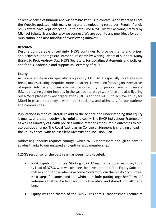collective sense of humour and wisdom has kept us in contact. Anna Pears has kept the Website updated, with many using and downloading resources. Regular Panui/ newsletters have kept everyone up to date. The NZSG Twitter account, started by Michael Schultz, is another way we connect. We are open to any new ideas for communication, and also mindful of overflowing inboxes!

### **Research**

Despite considerable uncertainty, NZSG continues to provide grants and prizes, and actively support gastro-intestinal research by writing letters of support. Many thanks to Prof. Andrew Day, NZSG Secretary, for updating statements and policies, and for his leadership and support as Secretary of NZSG.

### **Equity**

Achieving equity in our specialty is a priority. COVID-19, especially this Delta outbreak, makes existing inequities more apparent. I have been focusing on three areas of equity: Advocacy to overcome medication equity for people living with severe IBD, addressing gender inequity in the gastroenterology workforce and also figuring out NZSG's place with key organisations (DHBs and the RACP) to achieve equity for Māori in gastroenterology – within our speciality, and ultimately for our patients and communities.

Publications in medical literature add to the science and understanding that equity is quality, and that inequity is harmful and costly. The RACP Indigenous Framework as well as Ministry of Health policies outline methods measurable outcomes to create positive change. The Royal Australasian College of Surgeons is charging ahead in the Equity space, with an excellent Diversity and Inclusion Plan.

Addressing inequity requires courage, which NZSG is fortunate enough to have in spades thanks to our engaged and enthusiastic membership.

NZSG's response for the past year has been multi-faceted:

- NZSG Equity Committee: Starting 2022. Many thanks to James Irwin, Equity Lead of NZSG, who will oversee the development of the Equity Subcommittee and to those who have come forward to join the Equity Committee. Next steps for James and the wh**ā**nau include putting together Terms of Reference that will be fed back to the Executive, and shared with all members.
- Equity was the theme of the NZSG President's Trans-tasman Lecture at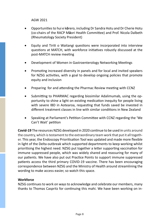AGW 2021

- • Opportunities to hui e k**ō**rero, including Dr Sandra Hotu and Dr Cherie Hotu (co-chairs of the RACP M**ā**ori Health Committee) and Prof. Nicola Dalbeth (Rheumatology Society President)
- Equity and Tiriti o Waitangi questions were incorporated into interview questions at MATCH, with workforce initiatives robustly discussed at the post-MATCH review meeting
- Development of Women in Gastroenterology Networking Meetings
- Promoting increased diversity in panels and for local and invited speakers for NZSG activities, with a goal to develop ongoing policies that promote equity and inclusion
- • Preparing for and attending the Pharmac Review meeting with CCNZ
- • Submitting to PHARMAC regarding biosimilar Adalimumab, using the opportunity to shine a light on existing medication inequity for people living with severe IBD in Aotearoa, requesting that funds saved be invested in different treatment classes in line with similar conditions in New Zealand
- Speaking at Parliament's Petition Committee with CCNZ regarding the 'We Can't Wait' petition

**Covid-19** The resources NZSG developed in 2020 continue to be used in units around the country, which is testament to the extraordinary team work that put it all together. This year, the Endoscopy Prioritisation Tool was updated and made more flexible in light of the Delta outbreak which supported departments to keep working whilst prioritising the highest need. NZSG put together a letter supporting vaccination for immune suppressed people, which was widely shared and reassuring for many of our patients. We have also put out Practice Points to support immune suppressed patients access the third primary COVID-19 vaccine. There has been encouraging correspondence between NZSG and the Ministry of Health around streamlining the wording to make access easier, so watch this space.

#### **Workforce**

NZSG continues to work on ways to acknowledge and celebrate our members, many thanks to Thomas Caspritz for continuing this mahi. We have been working on in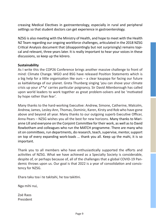creasing Medical Electives in gastroenterology, especially in rural and peripheral settings so that student doctors can get experience in gastroenterology.

NZSG is also meeting with the Ministry of Health, and hope to meet with the Health NZ Team regarding our ongoing workforce challenges, articulated in the 2018 NZSG Critical Analysis document that (disappointingly but not surprisingly) remains topical and relevant, three years later. It is really important to hear your voices in these discussions, so keep up the kōrero.

#### **Sustainability**

As I write this the COP26 Conference brings another massive challenge to front of mind: Climate Change. WGO and BSG have released Position Statements which is a big help for a little organisation like ours – a clear kaupapa for facing our future as kaitiakitanga of our planet. Greta Thunberg singing 'you can shove your climate crisis up your a\*\*e' carries particular poignancy. Sir David Attenborough has called upon world leaders to work together as great problem-solvers and be 'motivated by hope rather than fear'.

Many thanks to the hard-working Executive: Andrew, Simone, Catherine, Malcolm, Andrew, James, Lesley-Ann, Thomas, Dominic, Karen, Kirsty and Rob who have gone above and beyond all year. Many thanks to our outgoing superb Executive Officer, Anna Pears – NZSG wishes you all the best for new horizons. Many thanks to Marianne Lill and everyone on the Conjoint Committee for their work, as well as to David Rowbotham and colleagues who run the MATCH programme. There are many who sit on committees, run departments, do research, teach, supervise, mentor, support on top of every expanding work-loads … thank you all. Keep up the mahi, it is so important.

Thank you to all members who have enthusiastically supported the efforts and activities of NZSG. What we have achieved as a Specialty Society is considerable, despite of, or perhaps because of, all of the challenges that a global COVID-19 Pandemic throws upon us. Our goal is that 2022 is a year of consolidation and consistency for NZSG.

Ehara taku toa i te takitahi, he toa takitini.

Nga mihi nui,

Zoë Raos President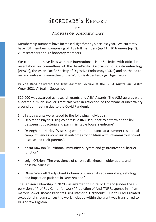## Secretary's Report

R<sub>V</sub> Professor Andrew Day

Membership numbers have increased significantly since last year. We currently have 201 members, comprising of 138 full members (up 11), 30 trainees (up 2), 21 researchers and 12 honorary members.

We continue to have links with our international sister Societies with official representation on committees of the Asia-Pacific Association of Gastroenterology (APAGE), the Asian-Pacific Society of Digestive Endoscopy (PSDE) and on the editorial and outreach committee of the World Gastroenterology Organisation.

Dr Zoe Raos delivered the Trans-Tasman Lecture at the GESA Australian Gastro Week 2021 Virtual in September.

\$20,000 was awarded as research grants and ASM Awards. The ASM awards were allocated a much smaller grant this year in reflection of the financial uncertainty around our meeting due to the Covid Pandemic.

Small study grants were issued to the following individuals:

- Dr Simone Bayer "Using colon tissue RNA sequence to determine the link between gut bacteria and pain in irritable bowel syndrome"
- Dr Angharad Hurley **"**Assessing whether attendance at a summer residential camp influences non-clinical outcomes for children with inflammatory bowel disease and their parents".
- Krista Dawson "Nutritional immunity: butyrate and gastrointestinal barrier function".
- Leigh O'Brien "The prevalence of chronic diarrhoea in older adults and possible causes."
- Oliver Waddell "Early Onset Colo-rectal Cancer, its epidemiology, aetiology and impact on patients in New Zealand."

The Janssen Fellowship in 2020 was awarded to Dr Paulo Urbano (under the supervision of Prof Ros Kemp) for work "Prediction of Anti-TNF Response in Inflammatory Bowel Disease Patients Using Intestinal Organoids". Due to COVID-related exceptional circumstances the work included within the grant was transferred to Dr Andrew Highton.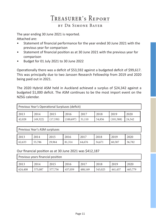## Treasurer's Report

## by Dr Simone Bayer

The year ending 30 June 2021 is reported. Attached are:

- Statement of financial performance for the year ended 30 June 2021 with the previous year for comparison
- Statement of financial position as at 30 June 2021 with the previous year for comparison
- Budget for 01 July 2021 to 30 June 2022

Operationally there was a deficit of \$53,592 against a budgeted deficit of \$99,617. This was principally due to two Janssen Research Fellowship from 2019 and 2020 being paid out in 2021.

The 2020 Hybrid ASM held in Auckland achieved a surplus of \$24,342 against a budgeted \$1,000 deficit. The ASM continues to be the most import event on the NZSG calendar.

| Previous Year's Operational Surpluses (deficit)              |          |          |            |        |        |            |        |
|--------------------------------------------------------------|----------|----------|------------|--------|--------|------------|--------|
| 2015<br>2018<br>2020<br>2019<br>2013<br>2014<br>2016<br>2017 |          |          |            |        |        |            |        |
| 42,028                                                       | (49,322) | (17,330) | (100, 697) | 31,110 | 54,856 | (101, 588) | 24,342 |

| Previous Year's ASM surpluses |        |        |        |        |        |        |        |
|-------------------------------|--------|--------|--------|--------|--------|--------|--------|
| 2013                          | 2014   | 2015   | 2016   | 2017   | 2018   | 2019   | 2020   |
| 62,633                        | 55,786 | 29,964 | 81,314 | 64,676 | 34,671 | 60,587 | 36,782 |

Our financial position as at 30 June 2021 was \$412,187

Previous years financial position

| 2013    | 2014    | 2015    | 2016    | 2017    | 2018    | 2019    | 2020    |
|---------|---------|---------|---------|---------|---------|---------|---------|
| 624,408 | 575,087 | 577,756 | 457,059 | 488,169 | 543,025 | 441,437 | 465,779 |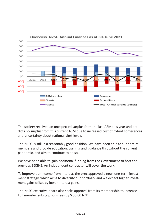

The society received an unexpected surplus from the last ASM this year and predicts no surplus from this current ASM due to increased cost of hybrid conferences and uncertainty about national alert levels.

The NZSG is still in a reasonably good position. We have been able to support its members and provide education, training and guidance throughout the current pandemic, and aim to continue to do so.

We have been able to gain additional funding from the Government to host the previous EGGNZ. An independent contractor will cover the work.

To improve our income from interest, the exec approved a new long-term investment strategy, which aims to diversify our portfolio, and we expect higher investment gains offset by lower interest gains.

The NZSG executive board also seeks approval from its membership to increase Full member subscriptions fees by \$ 50.00 NZD.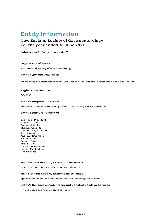## **Entity Information**

#### **New Zealand Society of Gastroenterology For the year ended 30 June 2021**

**'Who are we?', 'Why do we exist?'**

#### **Legal Name of Entity**

New Zealand Society of Gastroenterology

#### **Entity Type and Legal Basis**

Incorporated Society established 15th October 1992 and the Incorporated Societies Act 1908

#### **Registration Number**

CC46030

#### **Entity's Purpose or Mission**

The advancement of knowledge of Gastroenterology in New Zealand

#### **Entity Structure - Executive**

Zoe Raos - President Malcolm Arnold Campbell White Thomas Caspritz Dominic Ray-Chaudhuri Judy Huang Andrew McCombie Karen Clarke Simone Bayer Andrew Day Catherine Stedman Kirsten MacFarlane Rob Hackett

#### **Main Sources of Entity's Cash and Resources**

Grants, Subscriptions and an annual conference

#### **Main Methods Used by Entity to Raise Funds**

Application for grants and running courses/meetings for members

#### **Entity's Reliance on Volunteers and Donated Goods or Services**

The society does not rely on volunteers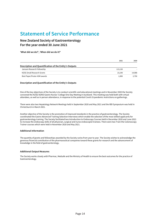## **Statement of Service Performance**

#### **New Zealand Society of Gastroenterology For the year ended 30 June 2021**

**'What did we do?', 'When did we do it?'**

|                                                        | 2021    | 2020   |
|--------------------------------------------------------|---------|--------|
| Description and Quantification of the Entity's Outputs |         |        |
| Janssen Research Fellowship                            | 113.130 |        |
| NZSG Small Research Grants                             | 23.190  | 14.988 |
| Best Paper/Poster ASM awards                           | 1.000   | 2.750  |

#### **Description and Quantification of the Entity's Outputs**

One of the key objectives of the Society is to conduct scientific and educational meetings and in November 2020 the Society convened the NZSG NZNO Gastro Nurses' College One Day Meeting in Auckland. This meeting was held both with virtual attendees, as well as in person attendance, in response to the potential Covid-19 pandemic restrictions on gatherings.

There were also two Hepatology Network Meetings held in September 2020 and May 2021 and the IBD Symposium was held in Christchurch in March 2021.

Another objective of the Society is the promotion of improved standards in the practice of gastroenterology. The Society coordinated the Gastro Advanced Training Selection Interviews which enable the selection of the most skilled applicants for gastroenterology training. The Society facilitated two Introduction to Endoscopy Courses held in December 2020 and June 2021 to increase the endoscopy skills of all physician, surgical and nurse endoscopist trainees. There were two Train the Colonoscopy Trainer courses which were held in November 2020 and May 2021.

#### **Additional Information**

The quantity of grants and fellowships awarded by the Society varies from year to year. The Society wishes to acknowledge the generous financial contribution of the pharmaceutical companies toward these grants for research and the advancement of knowledge in the field of gastroenterology.

#### **Additional Output Measures**

The Society works closely with Pharmac, Medsafe and the Ministry of Health to ensure the best outcomes for the practice of Gastroenterology.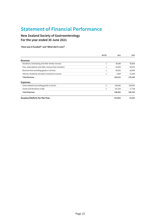## **Statement of Financial Performance**

**New Zealand Society of Gastroenterology For the year ended 30 June 2021**

**'How was it funded?' and 'What did it cost?'**

|                                                    | <b>NOTES</b>   | 2021      | 2020    |
|----------------------------------------------------|----------------|-----------|---------|
| Revenue                                            |                |           |         |
| Donations, fundraising and other similar revenue   | 1              | 30,000    | 30,000  |
| Fees, subscriptions and other revenue from members | $\mathbf{1}$   | 62,054    | 44,670  |
| Revenue from providing goods or services           | $\mathbf{1}$   | 95,652    | 82,994  |
| Interest, dividends and other investment revenue   | 1              | 5,605     | 12,439  |
| <b>Total Revenue</b>                               |                | 193,311   | 170,104 |
| <b>Expenses</b>                                    |                |           |         |
| Costs related to providing goods or service        | $\overline{2}$ | 109,582   | 128,024 |
| Grants and donations made                          | $\overline{2}$ | 137,320   | 17,738  |
| <b>Total Expenses</b>                              |                | 246,902   | 145,762 |
| Surplus/(Deficit) for the Year                     |                | (53, 592) | 24,342  |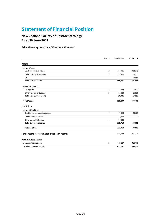## **Statement of Financial Position**

### **New Zealand Society of Gastroenterology As at 30 June 2021**

**'What the entity owns?' and 'What the entity owes?'**

|                                                  | <b>NOTES</b>   | 30 JUN 2021 | 30 JUN 2020 |
|--------------------------------------------------|----------------|-------------|-------------|
| Assets                                           |                |             |             |
| <b>Current Assets</b>                            |                |             |             |
| Bank accounts and cash                           | 3              | 390,735     | 412,279     |
| Debtors and prepayments                          | 3              | 118,256     | 59,321      |
| <b>GST</b>                                       |                |             | 9,968       |
| <b>Total Current Assets</b>                      |                | 508,991     | 481,568     |
| <b>Non-Current Assets</b>                        |                |             |             |
| Intangibles                                      | 3              | 986         | 1,971       |
| Other non-current assets                         | 3              | 15,920      | 15,920      |
| <b>Total Non-Current Assets</b>                  |                | 16,906      | 17,892      |
| <b>Total Assets</b>                              |                | 525,897     | 499,460     |
| Liabilities                                      |                |             |             |
| <b>Current Liabilities</b>                       |                |             |             |
| Creditors and accrued expenses                   | $\overline{4}$ | 47,580      | 33,681      |
| Goods and services tax                           |                | 5,293       |             |
| Other current liabilities                        | 4              | 60,836      |             |
| <b>Total Current Liabilities</b>                 |                | 113,710     | 33,681      |
| <b>Total Liabilities</b>                         |                | 113,710     | 33,681      |
| Total Assets less Total Liabilities (Net Assets) |                | 412,187     | 465,779     |
| <b>Accumulated Funds</b>                         |                |             |             |
| Accumulated surpluses                            | 5              | 412,187     | 465,779     |
| <b>Total Accumulated Funds</b>                   |                | 412,187     | 465,779     |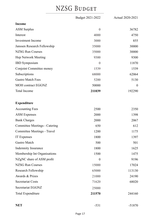## NZSG BUDGET

|                               | Budget 2021-2022 | Actual 2020-2021 |
|-------------------------------|------------------|------------------|
| <b>Income</b>                 |                  |                  |
| <b>ASM Surplus</b>            | $\theta$         | 36782            |
| Interest                      | 4000             | 4750             |
| <b>Investment</b> Income      | 3000             | 855              |
| Janssen Research Fellowship   | 35000            | 30000            |
| <b>NZSG Run Courses</b>       | 35000            | 30000            |
| Hep Network Meeting           | 9300             | 9300             |
| <b>IBD</b> Symposium          | $\overline{0}$   | 11870            |
| Conjoint Committee money      | 1539             | 1539             |
| Subscriptions                 | 68000            | 62064            |
| <b>Gastro Match Fees</b>      | 5200             | 5130             |
| <b>MOH</b> contract EGGNZ     | 50000            | $\boldsymbol{0}$ |
| <b>Total Income</b>           | 211039           | 192290           |
| <b>Expenditure</b>            |                  |                  |
| <b>Accounting Fees</b>        | 2500             | 2350             |
| <b>ASM Expenses</b>           | 2000             | 1398             |
| <b>Bank Charges</b>           | 2000             | 2067             |
| Committee Meetings - Catering | 650              | 612              |
| Committee Meetings - Travel   | 1200             | 1175             |
| IT Expenses                   | 1800             | 1397             |
| Gastro Match                  | 500              | 501              |
| Indemnity Insurance           | 1800             | 1625             |
| Membership Int Organisations  | 1500             | 1475             |
| NZgNC share of ASM profit     | 0                | 9196             |
| NZSG Run Courses              | 15000            | 17024            |
| Research Fellowship           | 65000            | 113130           |
| Awards & Prizes               | 21000            | 24190            |
| Secretariat Costs             | 71620            | 68020            |
| Secretariat EGGNZ             | 25000            |                  |
| <b>Total Expenditure</b>      | 211570           | 244160           |
|                               |                  |                  |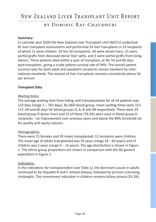## New Zealand Liver Transplant Unit Report

## by Dominic Ray-Chaudhuri

#### **Summary**

In calendar year 2020 the New Zealand Liver Transplant Unit (NZLTU) undertook 81 liver transplant assessments and performed 54 liver transplants in 53 recipients of which 12 were children. Of the 54 transplants, 36 were whole livers, 15 were partial grafts from deceased donor liver splits, and 3 were partial grafts from living donors. Three patients died within a year of transplant, at 46, 54 and 86 days post-transplant, giving a crude patient survival rate of 94%. The overall patient survival rates for both adult and paediatric recipients remain excellent by international standards. The volume of liver transplants remains consistently above 50 per annum.

#### **Transplant Data**

#### Waiting times

The average waiting time from listing until transplantation for all 54 patients was 123 days (range 1 – 763 days). By ABO blood group, mean waiting times were 157, 117, 69 and 60 days for blood groups O, A, B and AB respectively. There were 29 blood group O donor livers and 23 of these (79.3%) were used in blood group O recipients – an improvement over previous years and above the 80% threshold set for quality and equity reasons.

#### **Demographics**

There were 15 females and 39 males transplanted. 12 recipients were children. The mean age of adults transplanted was 55 years (range 18 – 69 years) and of children was 5 years (range  $0 - 14$  years). The age distribution is shown in Figure 1. The ethnic group proportions are shown in comparison with the NZ general population in Figure 2.

#### Indications

In the indications for transplantation (see Table 1), the dominant causes in adults continued to be Hepatitis B and C related disease, followed by primary sclerosing cholangitis. The commonest indication in children remains biliary atresia (33.3%).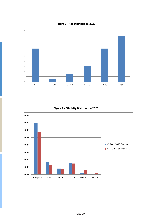

**Figure 1 - Age Distribution 2020**



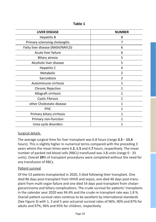**Table 1** 

| <b>LIVER DISEASE</b>             | <b>NUMBER</b>  |
|----------------------------------|----------------|
| <b>Hepatitis B</b>               | 8              |
| Primary sclerosing cholangitis   | 7              |
| Fatty liver disease (NASH/NAFLD) | 6              |
| Acute liver failure              | 6              |
| Biliary atresia                  | 5              |
| Alcoholic liver disease          | 5              |
| Hepatitis C                      | 4              |
| Metabolic                        | $\mathfrak{p}$ |
| Sarcoidosis                      | 2              |
| Autoimmune cirrhosis             | 1              |
| Chronic Rejection                | 1              |
| Allograft cirrhosis              | 1              |
| <b>Cystic Fibrosis</b>           | 1              |
| other Cholestatic disease        | 1              |
| PFIC                             | 1              |
| Primary biliary cirrhosis        | 1              |
| Primary non-function             | 1              |
| Urea cycle disorders             |                |

#### Surgical details

The average surgical time for liver transplant was 6.8 hours (range **3.3** – **13.4** hours). This is slightly higher in numerical terms compared with the preceding 3 years where the mean times were 6.**2**, 6.**5** and 6.**7** hours, respectively. The mean number of packed red blood cells (RBCs) transfused was 3**.5** units (range 0 - 33 units). Overall **39**% of transplant procedures were completed without the need for any transfusion of RBCs.

#### Patient survival

Of the 53 patients transplanted in 2020, 3 died following their transplant. One died 86 days post-transplant from HHV6 and sepsis, one died 46 days post-transplant from multi organ failure and one died 54 days post-transplant from cholangiocarcinoma and biliary complications. The crude survival for patients' transplants in the calendar year 2020 was 94.4% and the crude re-transplant rate was 1.8 %. Overall patient survival rates continue to be excellent by international standards (See Figure 3) with 1, 3 and 5 year actuarial survival rates of 96%, 90% and 87% for adults and 97%, 96% and 95% for children, respectively.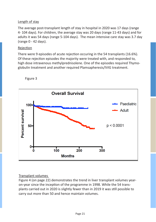### Length of stay

The average post-transplant length of stay in hospital in 2020 was 17 days (range 4- 104 days). For children, the average stay was 20 days (range 11-43 days) and for adults it was 54 days (range 5-104 days). The mean intensive care stay was 3.7 day (range 0 - 42 days).

#### Rejection

There were 9 episodes of acute rejection occuring in the 54 transplants (16.6%). Of these rejection episodes the majority were treated with, and responded to, high dose intravenous methylprednisolene. One of the episodes required Thymoglobulin treatment and another required Plamsapheresis/IVIG treatment.



Figure 3

### Transplant volumes

Figure 4 (on page 22) demonstrates the trend in liver transplant volumes yearon-year since the inception of the programme in 1998. While the 54 transplants carried out in 2020 is slightly fewer than in 2019 it was still possible to carry out more than 50 and hence maintain volumes.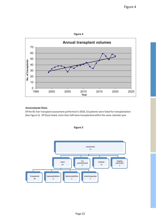

#### **Assessment Data**

Of the 81 liver transplant assessment performed in 2020, 53 patients were listed for transplantation (See Figure 5). Of those listed, more than half were transplanted within the same calendar year



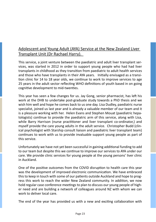## Adolescent and Young Adult (AYA) Service at the New Zealand Liver Transplant Unit (Dr Rachael Harry).

This service, a joint venture between the paediatric and adult liver transplant services, was started in 2012 in order to support young people who had had liver transplants in childhood as they transition from paediatric to adult health services and those who have transplants in their AYA years. Initially envisaged as a transition clinic for 14 to 18 year olds, we continue to work to improve services to age 25 years in the adult sector reflecting WHO definitions of youth based in on going cognitive development to mid-twenties.

This year has seen a few changes for us. Jay Gong, senior pharmacist, has left his work at the DHB to undertake post-graduate study towards a PhD thesis and we wish him well and hope he comes back to us one day. Lisa Dudley, paediatric nurse specialist, joined us last year and is already a valuable member of our team and it is a pleasure working with her. Helen Evans and Stephen Mouat (paediatric hepatologists) continue to provide the paediatric arm of this service, along with Lisa, while Barry Harrison (nurse practitioner and liver transplant co-ordinator,) and myself provide the care young adults in the adult service. Christopher Budd (clinical psychologist with Starship consult liaison and paediatric liver transplant team) continues to work with us to provide invaluable support young people as part of this service.

Unfortunately we have not yet been successful in gaining additional funding to add to our team but despite this we continue to improve our services to AYA under our care. We provide clinic services for young people at the young persons' liver clinic in Auckland.

One of the positive outcomes from the COVID disruption to health care this year was the development of improved electronic communication. We have embraced this to keep in touch with some of our patients outside Auckland and hope to progress this work to reach the wider New Zealand community. In addition, we now hold regular case conference meetings to plan to discuss our young people of higher need and are building a network of colleagues around NZ with whom we can work to deliver local care.

The end of the year has provided us with a new and exciting collaboration with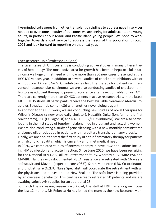like-minded colleagues from other transplant disciplines to address gaps in services needed to overcome inequity of outcomes we are seeing for adolescents and young adults, in particular our Maori and Pacific island young people. We hope to work together towards a joint service to address the needs of this population through 2021 and look forward to reporting on that next year.

#### Liver Research Unit (Professor Ed Gane)

The Liver Research Unit currently is conducting active studies in many different areas of hepatology. The most active area for growth has been in hepatocellular carcinoma – a huge unmet need with now more than 250 new cases presented at the HCC MDM each year. In addition to several studies of checkpoint inhibitors with or without oral TKIs and/or VEGF inhibitors as first line therapy for patients with advanced hepatocellular carcinoma, we are also conducting studies of checkpoint inhibitors as adjuvant therapy to prevent recurrence after resection, ablation or TACE. There are currently more than 60 HCC patients in active research trials. In the latest MORPHEUS study, all participants receive the best available treatment Atezolizumab plus Bevacizumab combine3d with another novel biologic agent.

In addition to the HCC work, we are conducting new studies of novel therapies for Wilson's Disease (a new once daily chelator), Hepatitis Delta (lonafarnib, the first oral therapy), PSC (FXR agonist) and NASH (CCR2/CCR5 inhibitor). We are also participating in the first study of tenofovir alafenamide in pregnant and lactating women. We are also conducting a study of gene silencing with a new monthly administered antisense oligonucleotide in patients with hereditary transthyretin amyloidosis.

Finally, we are about to start the first study of ant-inflammatory therapy for patients with alcoholic hepatitis, which is currently an unmet medical need.

In 2020, we completed studies of antiviral therapy in novel HCV populations including HIV coinfection and acute infection. Since June 2020, we have been recruiting for the National HCV DAA Failure Retreatment Study, whereby all VIEKIRA PAK and MAVIRET failures with documented NS5A resistance are retreated with 16 weeks sofosbuvir and Maviret (expected cure >95%). Sarah Middleton (LRU Co-ordinator) and Bridget Faire (NZLTU Nurse Specialist) will coordinate the retreatment with all the physicians and nurses around New Zealand. The sofosbuvir is being provided by an overseas benefactor. This trial has already retreated 50 patients and we are awaiting sofosbuvir supplies for an additional 25.

To match the increasing research workload, the staff at LRU has also grown over the last 12 months. Ms Rebecca Hu has joined the team as the new Research Man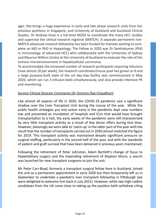ager. She brings a huge experience in early and late phase research units from her previous positions in Singapore, and University of Auckland and Auckland Clinical Studies. Dr Andrew Knox is a full-time MOSS to coordinate the many HCC studies and supervise the clinical research registrar (MATCH). A separate permanent non-MATCH advanced research fellowship has been funded for trainees wishing to complete an MD or PhD in Hepatology. The Fellow in 2020 was Dr Santhakumar (PhD in immunology of advanced HCC) who collaborated with the University of Sydney and Maurice Wilkins Centre at the University of Auckland to evaluate the role of the tumour microenvironment in hepatocellular carcinoma.

To accommodate the increased number of research participants requiring infusions (now almost 20 per week), the research coordinator/nurse pool has grown to 9 and a large purpose-built state of the art day-stay facility was commissioned in May 2020, which can run 3 infusion beds simultaneously, and also provide intensive PK and monitoring.

#### Service Clinical Director Comments (Dr Dominic Ray-Chaudhuri)

Like almost all aspects of life in 2020, the COVID-19 pandemic cast a significant shadow over the Liver Transplant Unit during the course of the year. While the public health strategies put into action early in the pandemic kept case numbers low and prevented an inundation of hospitals and ICUs that would have brought transplantation to a halt, the early weeks of the pandemic were still characterized by very little transplant activity as a result of few donor offers during that time. However, pleasingly we were able to 'catch-up' in the latter part of the year with the result that the number of transplants carried out in 2020 almost matched the figure for 2019. This transplant activity was maintained despite significant pressure on surgical staffing, particularly in the second half of the year, and with the standards of patient and graft survival that have been delivered in previous years maintained.

Following the retirement of Peter Johnston, Adam Bartlett's change of focus to Hepatobiliary surgery and the impending retirement of Stephen Munn, a search was launched for new transplant surgeons to join the unit.

Mr Peter Carr-Boyd, formerly a transplant surgical fellow here in Auckland, joined the unit as a permanent appointment in early 2020 but then temporarily left us in September to undertake a paediatric liver transplant fellowship in Pittsburgh (we were delighted to welcome him back in July 2021). However, while two high-calibre candidates from the UK came close to taking up the position both withdrew citing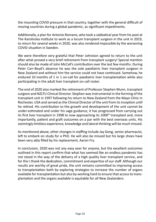the mounting COVID pressure in that country, together with the general difficult of moving countries during a global pandemic, as significant impediments.

Additionally, a plan for Antonio Romano, who took a sabbatical year from his post at The Karolinska Institute to work as a locum transplant surgeon in the unit in 2019, to return for several weeks in 2020, was also rendered impossible by the worsening COVID situation in Sweden.

We were therefore very grateful that Peter Johnston agreed to return to the unit after what proved a very brief retirement from transplant surgery! Special mention should also be made of John McCall's contribution over the last few months. During Peter Carr-Boyd's absence he was the sole paediatric liver transplant surgeon in New Zealand and without him the service could not have continued. Somehow, he endured 10 months of 1 in 1 on-call for paediatric liver transplantation while also participating in the adult liver transplant on-call roster.

The end of 2020 also marked the retirement of Professor Stephen Munn, transplant surgeon and NZLTU Clinical Director. Stephen was instrumental in the forming of the transplant unit in 1997 following his return to New Zealand from the Mayo Clinic in Rochester, USA and served as the Clinical Director of the unit from its inception until he retired. His contribution to the growth and development of the unit cannot be under-estimated and under his sage guidance, it has progressed from carrying out its first liver transplant in 1998 to now approaching its 1000<sup>th</sup> transplant and, more importantly, patient and graft outcomes on a par with the best overseas units. His seemingly limitless experience, knowledge and lateral thinking will be much missed.

As mentioned above, other changes in staffing include Jay Gong, senior pharmacist, left to embark on study for a PhD. He will also be missed but his large shoes have been very ably filled by his replacement, Aaron Fry.

In conclusion, 2020 was not any easy year for anyone, but the excellent outcomes outlined in this report confirm that what has seemed like an endless pandemic has not stood in the way of the delivery of a high quality liver transplant service, and for this I thank the dedication, commitment and expertise of our staff. Although our results are worthy of great pride, the unit remains committed to improving access to transplantation both by exploring strategies to increase the number of organs available for transplantation but also by working hard to ensure that access to transplantation and the organs available is equitable for all New Zealanders.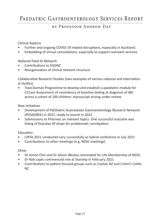## Paedatric Gastroenterology Services Report

## by Professor Andrew Day

#### Clinical Aspects

- Further and ongoing COVID-19 related disruptions, especially in Auckland.
- Embedding of virtual consultations, especially to support outreach services

National Paed GI Network

- Contributions to **FGGNZ**
- Reorganisation of clinical network structure

Collaborative Research Studies (two examples of various national and international studies)

• TransTasman Programme to develop and establish a paediatric module for CCCare Assessment of consistency of baseline testing at diagnosis of IBD across a cohort of 100 children: manuscript arising under review

New Initiatives

- Development of PaEDiatric Australasian Gastroenterology REsearch Network (PEDAGREE) in 2021: ready to launch in 2022
- Submissions to Pharmac on relevant topics. One successful outcome was listing of Dulcolax SP drops for problematic constipation.

**Education** 

- CIRTA 2021 conducted very successfully as hybrid conference in July 2021
- Contributions to other meetings (e.g. NZSG meetings)

**Other** 

- Dr Simon Chin and Dr Alison Wesley nominated for Life Membership of NZSG
- Dr Rob Lopez commenced role at Starship in February 2021
- Contributions to patient focused groups such as Coeliac NZ and Crohn's Colitis NZ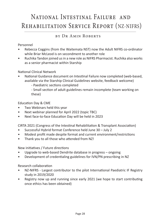## National Intestinal Failure and Rehabilitation Service Report (NZ-NIFRS)

## by Dr Amin Roberts

### Personnel

- Rebecca Coggins (from the Waitemata NST) now the Adult NIFRS co-ordinator while Briar McLeod is on secondment to another role
- Ruchika Tandon joined us in a new role as NIFRS Pharmacist. Ruchika also works as a senior pharmacist within Starship

#### National Clinical Network

- National Guidance document on Intestinal Failure now completed (web-based, available via the Starship Clinical Guidelines website, feedback welcome)
	- Paediatric sections completed
	- Small section of adult guidelines remain incomplete (team working on these)

### Education Day & CME

- Two Webinars held this year
- Next webinar planned for April 2022 (topic TBC)
- Next face-to-face Education Day will be held in 2023

CIRTA 2021 (Congress of the Intestinal Rehabilitation & Transplant Association)

- Successful Hybrid format Conference held June 30 July 2
- Modest profit made despite format and current environment/restrictions
- Thank you to all those who attended from NZ!

New initiatives / Future directions

- Upgrade to web-based Dendrite database in progress ongoing
- Development of credentialing guidelines for IVN/PN prescribing in NZ

Research collaboration

- NZ-NIFRS Largest contributor to the pilot International Paediatric IF Registry study in 2019/2020
- Registry now up and running since early 2021 (we hope to start contributing once ethics has been obtained)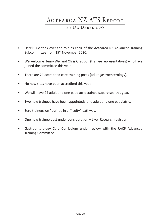## Aotearoa NZ ATS Report

### by Dr Derek luo

- Derek Luo took over the role as chair of the Aotearoa NZ Advanced Training Subcommittee from 19th November 2020.
- We welcome Henry Wei and Chris Graddon (trainee representatives) who have joined the committee this year
- There are 21 accredited core training posts (adult gastroenterology).
- No new sites have been accredited this year.
- We will have 24 adult and one paediatric trainee supervised this year.
- Two new trainees have been appointed; one adult and one paediatric.
- Zero trainees on "trainee in difficulty" pathway.
- One new trainee post under consideration Liver Research registrar
- Gastroenterology Core Curriculum under review with the RACP Advanced Training Committee.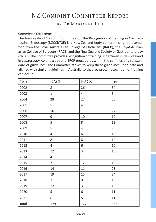## NZ Conjoint Committee Report

## by Dr Marianne Lill

#### **Committee Objectives**

The New Zealand Conjoint Committee for the Recognition of Training in Gastrointestinal Endoscopy (NZCCRTGE) is a New Zealand body compromising representation from the Royal Australasian College of Physicians (RACP), the Royal Australasian College of Surgeons (RACS) and the New Zealand Society of Gastroenterology (NZSG). The Committee provides recognition of training undertaken in New Zealand in gastroscopy, colonoscopy and ERCP procedures within the confines of a set standard of guidelines. The Committee strives to keep these guidelines up to date and aligned with similar guidelines in Australia so that reciprocal recognition of training can occur.

| Year  | <b>RACP</b>    | <b>RACS</b>  | Total  |
|-------|----------------|--------------|--------|
| 2002  | 8              | 26           | 34     |
| 2003  | $\mathbf{1}$   | 4            | 5      |
| 2004  | 28             | 27           | 55     |
| 2005  | 5              | 4            | 9      |
| 2006  | 16             | 11           | 27     |
| 2007  | 9              | 10           | 19     |
| 2008  | 5              | 8            | 13     |
| 2009  | 5              | 4            | 9      |
| 2010  | 4              | 6            | 10     |
| 2011  | 8              | 6            | 14     |
| 2012  | 4              | 6            | $10\,$ |
| 2013  | 12             | 3            | 15     |
| 2014  | 4              | $\mathbf{1}$ | 5      |
| 2015  | $\overline{7}$ | 12           | 19     |
| 2016  | 14             | 11           | 25     |
| 2017  | 19             | 15           | 34     |
| 2018  | $\overline{7}$ | 9            | 16     |
| 2019  | 12             | 3            | 15     |
| 2020  | 5              | 6            | 11     |
| 2021  | 6              | 5            | 11     |
| Total | 179            | 177          | 356    |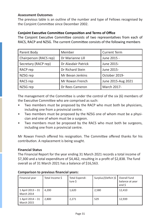#### **Assessment Outcomes**

The previous table is an outline of the number and type of Fellows recognised by the Conjoint Committee since December 2002.

#### **Conjoint Executive Committee Composition and Terms of Office**

The Conjoint Executive Committee consists of two representatives from each of RACS, RACP and NZSG. The current Committee consists of the following members

| Parent Body            | Member              | <b>Current Term</b> |
|------------------------|---------------------|---------------------|
| Chairperson (RACS rep) | Dr Marianne Lill    | June 2015 -         |
| Secretary (RACP rep)   | Dr Alasdair Patrick | June 2015-          |
| RACP rep               | Dr Richard Stein    | June 2015-          |
| NZSG rep               | Mr Bevan Jenkins    | October 2019-       |
| RACS rep               | Mr Rowan French     | June 2015-Aug 2021  |
| NZSG rep               | Dr Rees Cameron     | March 2017-         |

The management of the Committee is under the control of the six (6) members of the Executive Committee who are comprised as such:

- Two members must be proposed by the RACP who must both be physicians, including one from a provincial centre.
- Two members must be proposed by the NZSG one of whom must be a physician and one of whom must be a surgeon.
- Two members must be proposed by the RACS who must both be surgeons, including one from a provincial centre.

Mr Rowan French offered his resignation. The Committee offered thanks for his contribution. A replacement is being sought.

#### **Financial Status**

The Financial Report for the year ending 31 March 2021 records a total income of \$7,300 and a total expenditure of \$4,462, resulting in a profit of \$2,838. The fund overall as of 31 March 2021 has a balance of \$16,563.

| Financial year                         | Total Income \$ | Total Expendi-<br>ture \$ | Surplus/(Deficit)\$ | Overall fund<br>balance at year<br>end \$ |
|----------------------------------------|-----------------|---------------------------|---------------------|-------------------------------------------|
| 1 April 2013 - 31<br>March 2014        | 4.200           | 1,620                     | 2,580               | 12.410                                    |
| 1 April 2014 - 31<br><b>March 2015</b> | 2.800           | 2,271                     | 529                 | 12.939                                    |

#### **Comparison to previous financial years:**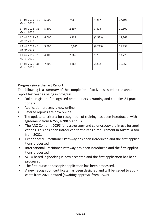| 1 April 2015 - 31<br><b>March 2016</b> | 5,000 | 743    | 4,257    | 17,196 |
|----------------------------------------|-------|--------|----------|--------|
| 1 April 2016 - 31<br><b>March 2017</b> | 5,800 | 2,197  | 3,603    | 20,800 |
| 1 April 2017 - 31<br><b>March 2018</b> | 6.600 | 9,133  | (2,533)  | 18.267 |
| 1 April 2018 - 31<br><b>March 2019</b> | 3,800 | 10,073 | (6, 273) | 11,994 |
| 1 April 2019-31<br><b>March 2020</b>   | 4,100 | 2,369  | 1,731    | 13,725 |
| 1 April 2020 - 31<br><b>March 2021</b> | 7,300 | 4,462  | 2,838    | 16,563 |

#### **Progress since the last Report**

The following is a summary of the completion of activities listed in the annual report last year as being in progress:

- Online register of recognised practitioners is running and contains 81 practitioners.
- Application process is now online.
- Referee reports are now online.
- The update to criteria for recognition of training has been introduced, with agreement from NZSG, NZBIGS and RACP.
- The ANZ Conjoint DOPS for gastroscopy and colonoscopy are in use for applications. This has been introduced formally as a requirement in Australia too from 2022.
- Experienced Practitioner Pathway has been introduced and the first applications processed.
- International Pracitioner Pathway has been introduced and the first applications processed.
- SOLA based logbooking is now accepted and the first application has been processed.
- The first nurse endoscopist application has been processed.
- A new recognition certificate has been designed and will be issued to applicants from 2021 onward (awaiting approval from RACP).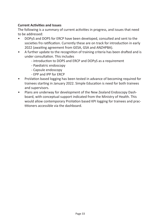### **Current Activities and Issues**

The following is a summary of current activities in progress, and issues that need to be addressed:

- DOPyS and DOPS for ERCP have been developed, consulted and sent to the societies fro ratification. Currently these are on track for introduction in early 2022 (awaiting agreement from GESA, GSA and ANZHPBA).
- A further update to the recognition of training criteria has been drafted and is under consultation. This includes
	- introduction to DOPS and ERCP and DOPyS as a requirement
	- Paediatric endoscopy
	- Capsule endoscopy
	- EPP and IPP for ERCP
- ProVation based logging has been tested in advance of becoming required for trainees starting in January 2022. Simple Education is need for both trainees and supervisors.
- Plans are underway for development of the New Zealand Endoscopy Dashboard, with conceptual support indicated from the Ministry of Health. This would allow contemporary ProVation based KPI logging for trainees and practitioners accessible via the dashboard.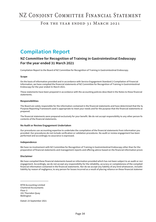## NZ CONJOINT COMMITTEE FINANCIAL STATEMENT

### FOR THE YEAR ENDED 31 MARCH 2021

## **Compilation Report**

#### **NZ Committee for Recognition of Training in Gastrointestinal Endoscopy For the year ended 31 March 2021**

Compilation Report to the Board of NZ Committee for Recognition of Training in Gastrointestinal Endoscopy.

#### **Scope**

On the basis of information provided and in accordance with Service Engagement Standard 2 Compilation of Financial Information, we have compiled the financial statements of NZ Committee for Recognition of Training in Gastrointestinal Endoscopy for the year ended 31 March 2021.

These statements have been prepared in accordance with the accounting policies described in the Notes to these financial statements.

#### **Responsibilities**

The Board are solely responsible for the information contained in the financial statements and have determined that the  $S_1$ Purpose Reporting Framework used is appropriate to meet your needs and for the purpose that the financial statements w prepared.

The financial statements were prepared exclusively for your benefit. We do not accept responsibility to any other person fo contents of the financial statements.

#### **No Audit or Review Engagement Undertaken**

Our procedures use accounting expertise to undertake the compilation of the financial statements from information you provided. Our procedures do not include verification or validation procedures. No audit or review engagement has been performed and accordingly no assurance is expressed.

#### **Independence**

We have no involvement with NZ Committee for Recognition of Training in Gastrointestinal Endoscopy other than for the preparation of financial statements and management reports and offering advice based on the financial information provided.

#### **Disclaimer**

We have compiled these financial statements based on information provided which has not been subject to an audit or revi engagement. Accordingly, we do not accept any responsibility for the reliability, accuracy or completeness of the compiled financial information contained in the financial statements. Nor do we accept any liability of any kind whatsoever, includin liability by reason of negligence, to any person for losses incurred as a result of placing reliance on these financial statemer

MTM Accounting Limited Chartered Accountants Floor 3 191 Thorndon Quay Wellington

<u> Albanya di Barat di Barat di Barat di Barat di Barat di Barat di Barat di Barat di Barat di Barat di Barat di</u>

Dated: 23 September 2021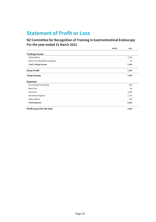## **Statement of Profit or Loss**

### **NZ Committee for Recognition of Training in Gastrointestinal Endoscopy For the year ended 31 March 2021**

|                                    | <b>NOTES</b> | 2021  |
|------------------------------------|--------------|-------|
| <b>Trading Income</b>              |              |       |
| Subscriptions                      |              | 7,250 |
| Admin Fee JAG/GESA recognition     |              | 50    |
| <b>Total Trading Income</b>        |              | 7,300 |
| <b>Gross Profit</b>                |              | 7,300 |
| <b>Total Income</b>                |              | 7,300 |
| <b>Expenses</b>                    |              |       |
| <b>Accounting &amp; Consulting</b> |              | 863   |
| <b>Bank Fees</b>                   |              | 48    |
| Insurance                          |              | 1,449 |
| Secretariat Support                |              | 1,770 |
| Subscriptions                      |              | 332   |
| <b>Total Expenses</b>              |              | 4,462 |
| Profit (Loss) for the Year         |              | 2,838 |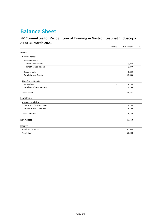## **Balance Sheet**

### **NZ Committee for Recognition of Training in Gastrointestinal Endoscopy As at 31 March 2021**

|                                  | <b>NOTES</b> | 31 MAR 2021 | 31 |
|----------------------------------|--------------|-------------|----|
| <b>Assets</b>                    |              |             |    |
| <b>Current Assets</b>            |              |             |    |
| <b>Cash and Bank</b>             |              |             |    |
| <b>BNZ Bank Account</b>          |              | 8,877       |    |
| <b>Total Cash and Bank</b>       |              | 8,877       |    |
| Prepayments                      |              | 1,692       |    |
| <b>Total Current Assets</b>      |              | 10,569      |    |
| <b>Non-Current Assets</b>        |              |             |    |
| Intangibles                      | 3            | 7,763       |    |
| <b>Total Non-Current Assets</b>  |              | 7,763       |    |
| <b>Total Assets</b>              |              | 18,331      |    |
| <b>Liabilities</b>               |              |             |    |
| <b>Current Liabilities</b>       |              |             |    |
| Trade and Other Payables         |              | 1,768       |    |
| <b>Total Current Liabilities</b> |              | 1,768       |    |
| <b>Total Liabilities</b>         |              | 1,768       |    |
| <b>Net Assets</b>                |              | 16,563      |    |
| <b>Equity</b>                    |              |             |    |
| <b>Retained Earnings</b>         |              | 16,563      |    |
| <b>Total Equity</b>              |              | 16,563      |    |
|                                  |              |             |    |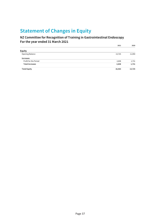## **Statement of Changes in Equity**

### **NZ Committee for Recognition of Training in Gastrointestinal Endoscopy For the year ended 31 March 2021**

|                        | 2021   | 2020   |
|------------------------|--------|--------|
| Equity                 |        |        |
| Opening Balance        | 13,725 | 11,994 |
| Increases              |        |        |
| Profit for the Period  | 2,838  | 1,731  |
| <b>Total Increases</b> | 2,838  | 1,731  |
| <b>Total Equity</b>    | 16,563 | 13,725 |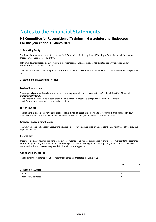## **Notes to the Financial Statements**

#### **NZ Committee for Recognition of Training in Gastrointestinal Endoscopy For the year ended 31 March 2021**

#### **1. Reporting Entity**

The financial statements presented here are for NZ Committee for Recognition of Training in Gastrointestinal Endoscopy Incorporated, a separate legal entity.

NZ Committee for Recognition of Training in Gastrointestinal Endoscopy is an incorporated society registered under the Incorporated Societies Act 1908.

This special purpose financial report was authorised for issue in accordance with a resolution of members dated 23 September 2021.

#### **2. Statement of Accounting Policies**

#### **Basis of Preparation**

These special purpose financial statements have been prepared in accordance with the Tax Administration (Financial Statements) Order 2014.

The financials statements have been prepared on a historical cost basis, except as noted otherwise below. The information is presented in New Zealand dollars.

#### **Historical Cost**

These financial statements have been prepared on a historical cost basis. The financial statements are presented in New Zealand dollars (NZ\$) and all values are rounded to the nearest NZ\$, except when otherwise indicated.

#### **Changes in Accounting Policies**

There have been no changes in accounting policies. Polices have been applied on a consistent basis with those of the previous reporting period.

#### **Income Tax**

Income tax is accounted for using the taxes payable method. The income tax expense in profit or loss represents the estimated current obligation payable to Inland Revenue in respect of each reporting period after adjusting for any variances between estimated and actual income tax payable in the prior reporting period.

#### **Goods and Services Tax**

The entity is not registered for GST. Therefore all amounts are stated inclusive of GST.

|                                | 2021  | 2020 |
|--------------------------------|-------|------|
| 3. Intangible Assets           |       |      |
| Website                        | 7.763 |      |
| <b>Total Intangible Assets</b> | 7.763 |      |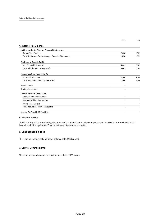|                                                        | 2021           | 2020  |
|--------------------------------------------------------|----------------|-------|
| 4. Income Tax Expense                                  |                |       |
| Net Income for the Year per Financial Statements       |                |       |
| <b>Current Year Earnings</b>                           | 2,838          | 1,731 |
| Total Net Income for the Year per Financial Statements | 2,838          | 1,731 |
| <b>Additions to Taxable Profit</b>                     |                |       |
| Non-Deductible Expenses                                | 4.462          | 2,369 |
| <b>Total Additions to Taxable Profit</b>               | 4,462          | 2,369 |
| <b>Deductions from Taxable Profit</b>                  |                |       |
| Non-taxable income                                     | 7.300          | 4,100 |
| <b>Total Deductions from Taxable Profit</b>            | 7,300          | 4,100 |
| Taxable Profit                                         | ÷              |       |
| Tax Payable at 33%                                     |                |       |
| <b>Deductions from Tax Payable</b>                     |                |       |
| Dividend Imputation Credits                            |                |       |
| Resident Withholding Tax Paid                          |                |       |
| <b>Provisional Tax Paid</b>                            | ÷              |       |
| <b>Total Deductions from Tax Payable</b>               | $\overline{a}$ |       |
| Income Tax Payable (Refund Due)                        |                |       |

#### **5. Related Parties**

The NZ Society of Gastroenterology Incorporated is a related party and pays expenses and receives income on behalf of NZ Committee for Recognition of Training in Gastrointestinal Incorporated.

#### **6. Contingent Liabilities**

There are no contingent liabilities at balance date. (2020: none).

#### **7. Capital Commitments**

There are no capital commitments at balance date. (2020: none).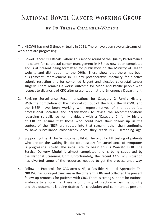## National Bowel Cancer Working Group

### by Dr Teresa Chalmers-Watson

The NBCWG has met 3 times virtually in 2021. There have been several streams of work that are progressing.

- 1. Bowel Cancer QPI Recalculation: This second round of the Quality Performance Indicators for colorectal cancer management in NZ has now been completed and is at present being formatted for publication on the Ministry of Health website and distribution to the DHBs. These show that there has been a significant improvement in 90 day postoperative mortality for elective colonic resection and for combined Urgent and elective colorectal cancer surgery. There remains a worse outcome for Māori and Pacific people with respect to diagnosis of CRC after presentation at the Emergency Department.
- 2. Revising Surveillance Recommendations for Category 2 Family History: With the completion of the national roll out of the NBSP the NBCWG and the NBSP have been working with representatives of the appropriate professional societies and organisations to revise the recommendations regarding surveillance for individuals with a 'Category 2' family history of CRC to ensure that those who could have their follow up in the context of the NBSP are routed into that stream rather than continuing to have surveillance colonoscopy once they reach NBSP screening age.
- 3. Supporting the FIT for Symptomatic Pilot: The pilot for FIT testing of patients who are on the waiting list for colonoscopy for surveillance of symptoms is progressing slowly. The initial site to begin this is Waikato DHB. The Service Delivery Model is almost completed and is being supported by the National Screening Unit. Unfortunately, the recent COVID-19 situation has diverted some of the resources needed to get the process underway.
- 4. Follow-up Protocols for CRC across NZ, a Possible National Approach: The NBCWG has surveyed clinicians in the different DHBs and collected the present follow-up protocols for patients with CRC. There is strong support for national guidance to ensure that there is uniformity of practice across the country and this document is being drafted for circulation and comment at present.